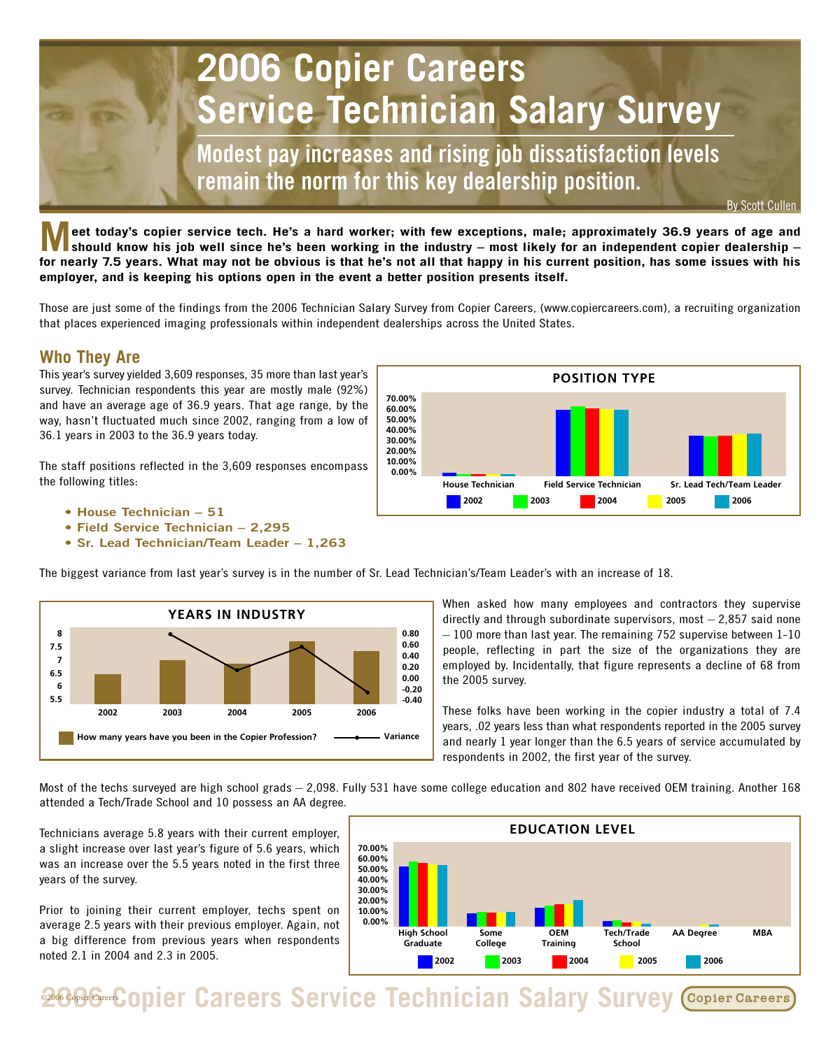

**Meet today's copier service tech. He's a hard worker; with few exceptions, male; approximately 36.9 years of age and should know his job well since he's been working in the industry – most likely for an independent copier dealership – for nearly 7.5 years. What may not be obvious is that he's not all that happy in his current position, has some issues with his employer, and is keeping his options open in the event a better position presents itself.**

Those are just some of the findings from the 2006 Technician Salary Survey from Copier Careers, (www.copiercareers.com), a recruiting organization that places experienced imaging professionals within independent dealerships across the United States.

## **Who They Are**

This year's survey yielded 3,609 responses, 35 more than last year's survey. Technician respondents this year are mostly male (92%) and have an average age of 36.9 years. That age range, by the way, hasn't fluctuated much since 2002, ranging from a low of 36.1 years in 2003 to the 36.9 years today.

The staff positions reflected in the 3,609 responses encompass the following titles:

- **House Technician 51**
- **Field Service Technician 2,295**
- **Sr. Lead Technician/Team Leader 1,263**



The biggest variance from last year's survey is in the number of Sr. Lead Technician's/Team Leader's with an increase of 18.



When asked how many employees and contractors they supervise directly and through subordinate supervisors, most – 2,857 said none – 100 more than last year. The remaining 752 supervise between 1-10 people, reflecting in part the size of the organizations they are employed by. Incidentally, that figure represents a decline of 68 from the 2005 survey.

These folks have been working in the copier industry a total of 7.4 years, .02 years less than what respondents reported in the 2005 survey and nearly 1 year longer than the 6.5 years of service accumulated by respondents in 2002, the first year of the survey.

Most of the techs surveyed are high school grads – 2,098. Fully 531 have some college education and 802 have received OEM training. Another 168 attended a Tech/Trade School and 10 possess an AA degree.

Technicians average 5.8 years with their current employer, a slight increase over last year's figure of 5.6 years, which was an increase over the 5.5 years noted in the first three years of the survey.

Prior to joining their current employer, techs spent on average 2.5 years with their previous employer. Again, not a big difference from previous years when respondents noted 2.1 in 2004 and 2.3 in 2005.



**2006 Copier Careers Service Technician Salary Survey** Copier Careers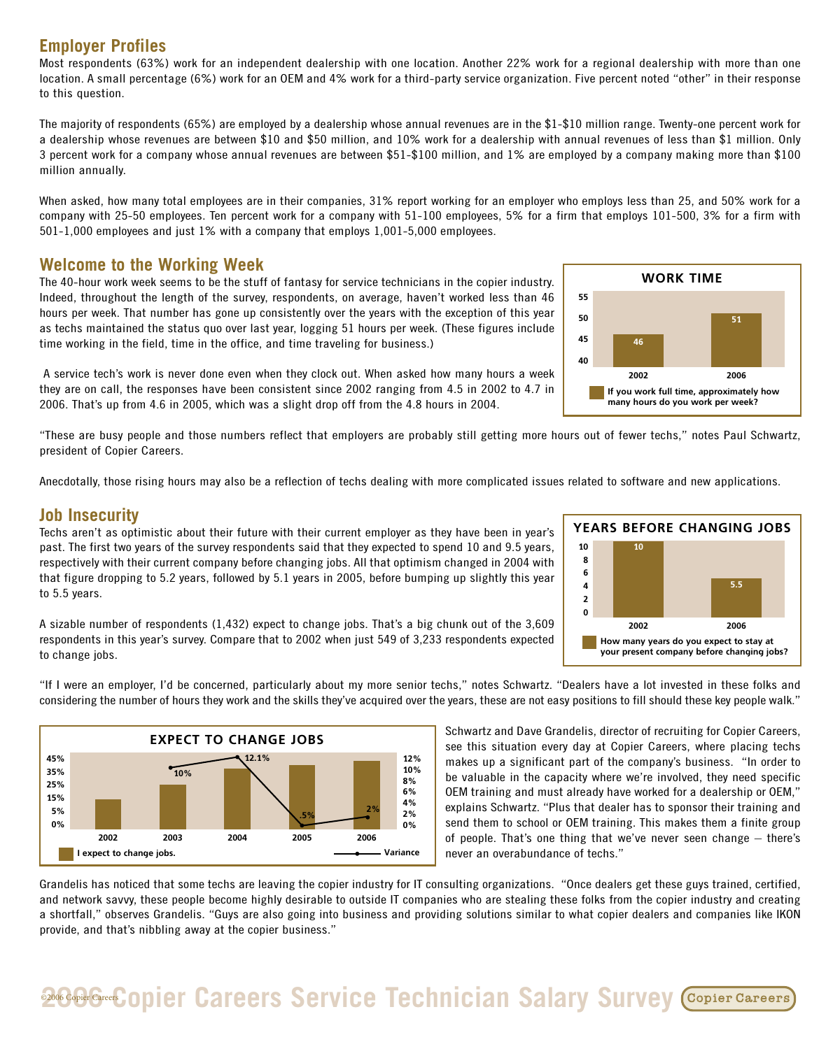## **Employer Profiles**

Most respondents (63%) work for an independent dealership with one location. Another 22% work for a regional dealership with more than one location. A small percentage (6%) work for an OEM and 4% work for a third-party service organization. Five percent noted "other" in their response to this question.

The majority of respondents (65%) are employed by a dealership whose annual revenues are in the \$1-\$10 million range. Twenty-one percent work for a dealership whose revenues are between \$10 and \$50 million, and 10% work for a dealership with annual revenues of less than \$1 million. Only 3 percent work for a company whose annual revenues are between \$51-\$100 million, and 1% are employed by a company making more than \$100 million annually.

When asked, how many total employees are in their companies, 31% report working for an employer who employs less than 25, and 50% work for a company with 25-50 employees. Ten percent work for a company with 51-100 employees, 5% for a firm that employs 101-500, 3% for a firm with 501-1,000 employees and just 1% with a company that employs 1,001-5,000 employees.

#### **Welcome to the Working Week**

The 40-hour work week seems to be the stuff of fantasy for service technicians in the copier industry. Indeed, throughout the length of the survey, respondents, on average, haven't worked less than 46 hours per week. That number has gone up consistently over the years with the exception of this year as techs maintained the status quo over last year, logging 51 hours per week. (These figures include time working in the field, time in the office, and time traveling for business.)

A service tech's work is never done even when they clock out. When asked how many hours a week they are on call, the responses have been consistent since 2002 ranging from 4.5 in 2002 to 4.7 in 2006. That's up from 4.6 in 2005, which was a slight drop off from the 4.8 hours in 2004.

"These are busy people and those numbers reflect that employers are probably still getting more hours out of fewer techs," notes Paul Schwartz, president of Copier Careers.

Anecdotally, those rising hours may also be a reflection of techs dealing with more complicated issues related to software and new applications.

### **Job Insecurity**

Techs aren't as optimistic about their future with their current employer as they have been in year's past. The first two years of the survey respondents said that they expected to spend 10 and 9.5 years, respectively with their current company before changing jobs. All that optimism changed in 2004 with that figure dropping to 5.2 years, followed by 5.1 years in 2005, before bumping up slightly this year to 5.5 years.



A sizable number of respondents (1,432) expect to change jobs. That's a big chunk out of the 3,609 respondents in this year's survey. Compare that to 2002 when just 549 of 3,233 respondents expected to change jobs.

"If I were an employer, I'd be concerned, particularly about my more senior techs," notes Schwartz. "Dealers have a lot invested in these folks and considering the number of hours they work and the skills they've acquired over the years, these are not easy positions to fill should these key people walk."



Schwartz and Dave Grandelis, director of recruiting for Copier Careers, see this situation every day at Copier Careers, where placing techs makes up a significant part of the company's business. "In order to be valuable in the capacity where we're involved, they need specific OEM training and must already have worked for a dealership or OEM," explains Schwartz. "Plus that dealer has to sponsor their training and send them to school or OEM training. This makes them a finite group of people. That's one thing that we've never seen change – there's never an overabundance of techs."

Grandelis has noticed that some techs are leaving the copier industry for IT consulting organizations. "Once dealers get these guys trained, certified, and network savvy, these people become highly desirable to outside IT companies who are stealing these folks from the copier industry and creating a shortfall," observes Grandelis. "Guys are also going into business and providing solutions similar to what copier dealers and companies like IKON provide, and that's nibbling away at the copier business."

# **2006 Guaration Careers Service Technician Salary Survey**

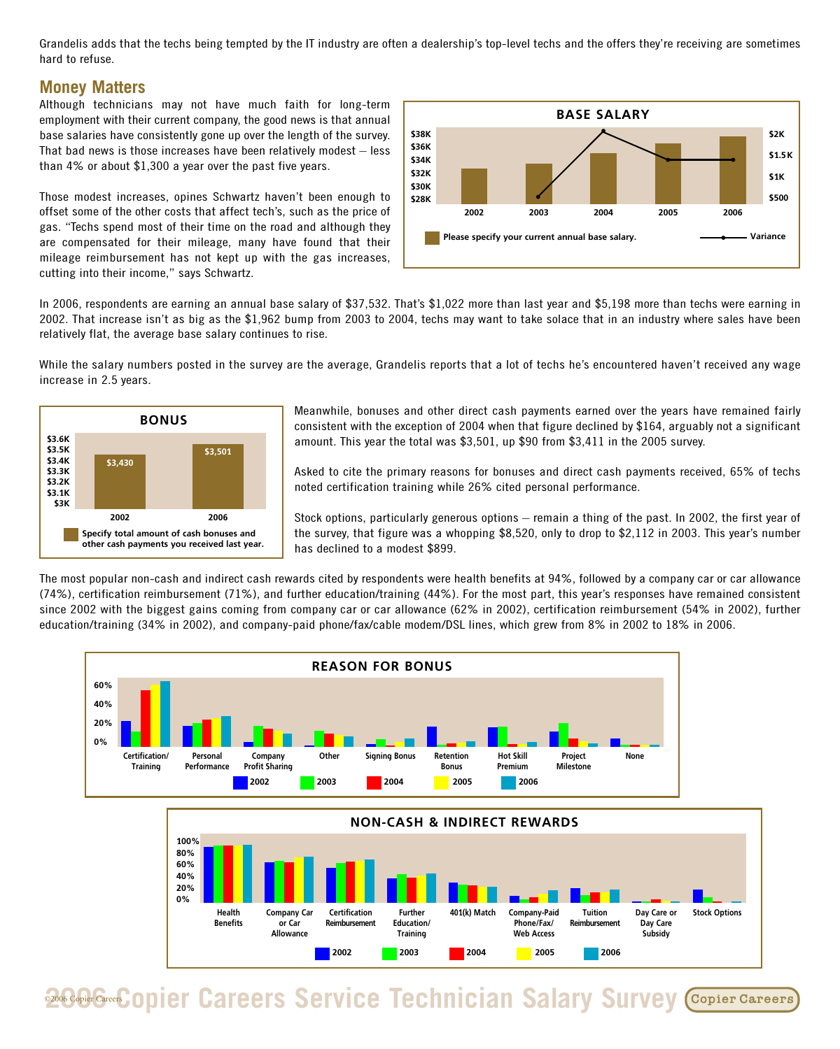Grandelis adds that the techs being tempted by the IT industry are often a dealership's top-level techs and the offers they're receiving are sometimes hard to refuse.

#### **Money Matters**

Although technicians may not have much faith for long-term employment with their current company, the good news is that annual base salaries have consistently gone up over the length of the survey. That bad news is those increases have been relatively modest – less than 4% or about \$1,300 a year over the past five years.

Those modest increases, opines Schwartz haven't been enough to offset some of the other costs that affect tech's, such as the price of gas. "Techs spend most of their time on the road and although they are compensated for their mileage, many have found that their mileage reimbursement has not kept up with the gas increases, cutting into their income," says Schwartz.



In 2006, respondents are earning an annual base salary of \$37,532. That's \$1,022 more than last year and \$5,198 more than techs were earning in 2002. That increase isn't as big as the \$1,962 bump from 2003 to 2004, techs may want to take solace that in an industry where sales have been relatively flat, the average base salary continues to rise.

While the salary numbers posted in the survey are the average, Grandelis reports that a lot of techs he's encountered haven't received any wage increase in 2.5 years.



Meanwhile, bonuses and other direct cash payments earned over the years have remained fairly consistent with the exception of 2004 when that figure declined by \$164, arguably not a significant amount. This year the total was \$3,501, up \$90 from \$3,411 in the 2005 survey.

Asked to cite the primary reasons for bonuses and direct cash payments received, 65% of techs noted certification training while 26% cited personal performance.

Stock options, particularly generous options – remain a thing of the past. In 2002, the first year of the survey, that figure was a whopping \$8,520, only to drop to \$2,112 in 2003. This year's number has declined to a modest \$899.

The most popular non-cash and indirect cash rewards cited by respondents were health benefits at 94%, followed by a company car or car allowance (74%), certification reimbursement (71%), and further education/training (44%). For the most part, this year's responses have remained consistent since 2002 with the biggest gains coming from company car or car allowance (62% in 2002), certification reimbursement (54% in 2002), further education/training (34% in 2002), and company-paid phone/fax/cable modem/DSL lines, which grew from 8% in 2002 to 18% in 2006.





**2006 Copier Copier Careers Service Technician Salary Survey Copier Careers**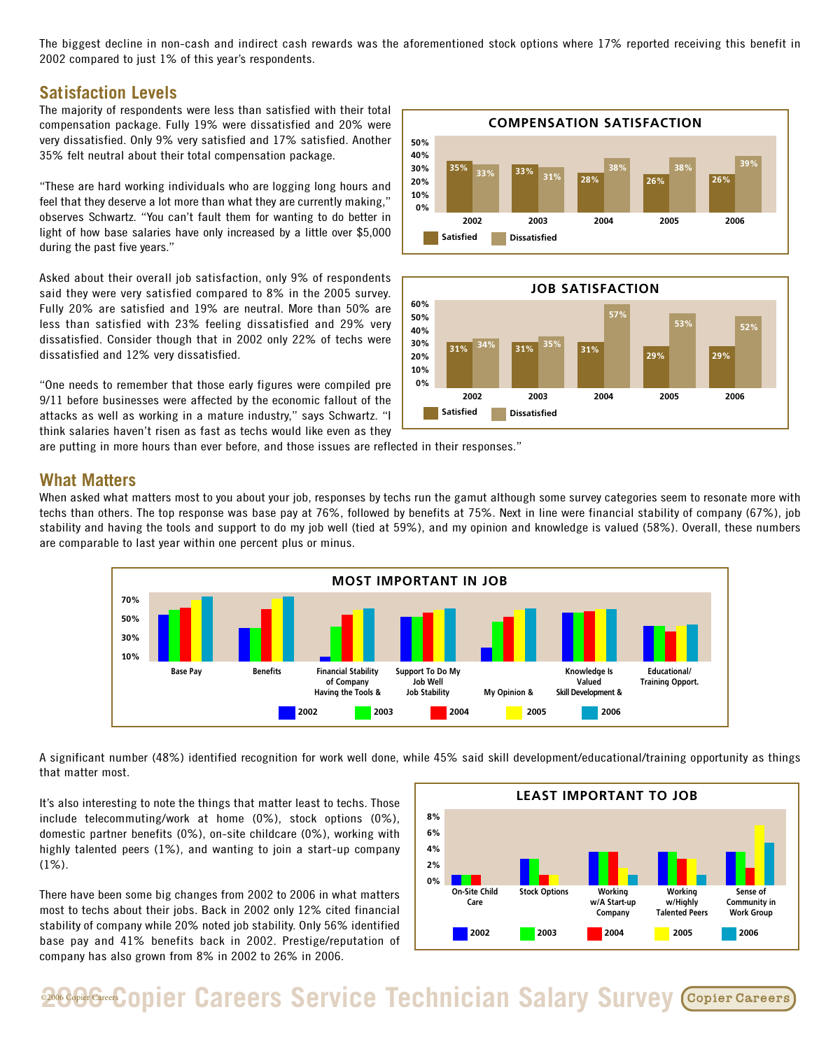The biggest decline in non-cash and indirect cash rewards was the aforementioned stock options where 17% reported receiving this benefit in 2002 compared to just 1% of this year's respondents.

#### **Satisfaction Levels**

The majority of respondents were less than satisfied with their total compensation package. Fully 19% were dissatisfied and 20% were very dissatisfied. Only 9% very satisfied and 17% satisfied. Another 35% felt neutral about their total compensation package.

"These are hard working individuals who are logging long hours and feel that they deserve a lot more than what they are currently making," observes Schwartz. "You can't fault them for wanting to do better in light of how base salaries have only increased by a little over \$5,000 during the past five years."

Asked about their overall job satisfaction, only 9% of respondents said they were very satisfied compared to 8% in the 2005 survey. Fully 20% are satisfied and 19% are neutral. More than 50% are less than satisfied with 23% feeling dissatisfied and 29% very dissatisfied. Consider though that in 2002 only 22% of techs were dissatisfied and 12% very dissatisfied.

"One needs to remember that those early figures were compiled pre 9/11 before businesses were affected by the economic fallout of the attacks as well as working in a mature industry," says Schwartz. "I think salaries haven't risen as fast as techs would like even as they





are putting in more hours than ever before, and those issues are reflected in their responses."

#### **What Matters**

When asked what matters most to you about your job, responses by techs run the gamut although some survey categories seem to resonate more with techs than others. The top response was base pay at 76%, followed by benefits at 75%. Next in line were financial stability of company (67%), job stability and having the tools and support to do my job well (tied at 59%), and my opinion and knowledge is valued (58%). Overall, these numbers are comparable to last year within one percent plus or minus.



A significant number (48%) identified recognition for work well done, while 45% said skill development/educational/training opportunity as things that matter most.

It's also interesting to note the things that matter least to techs. Those include telecommuting/work at home (0%), stock options (0%), domestic partner benefits (0%), on-site childcare (0%), working with highly talented peers (1%), and wanting to join a start-up company (1%).

There have been some big changes from 2002 to 2006 in what matters most to techs about their jobs. Back in 2002 only 12% cited financial stability of company while 20% noted job stability. Only 56% identified base pay and 41% benefits back in 2002. Prestige/reputation of company has also grown from 8% in 2002 to 26% in 2006.



**2006 Greef Copier Careers Service Technician Salary Survey Copier Careers**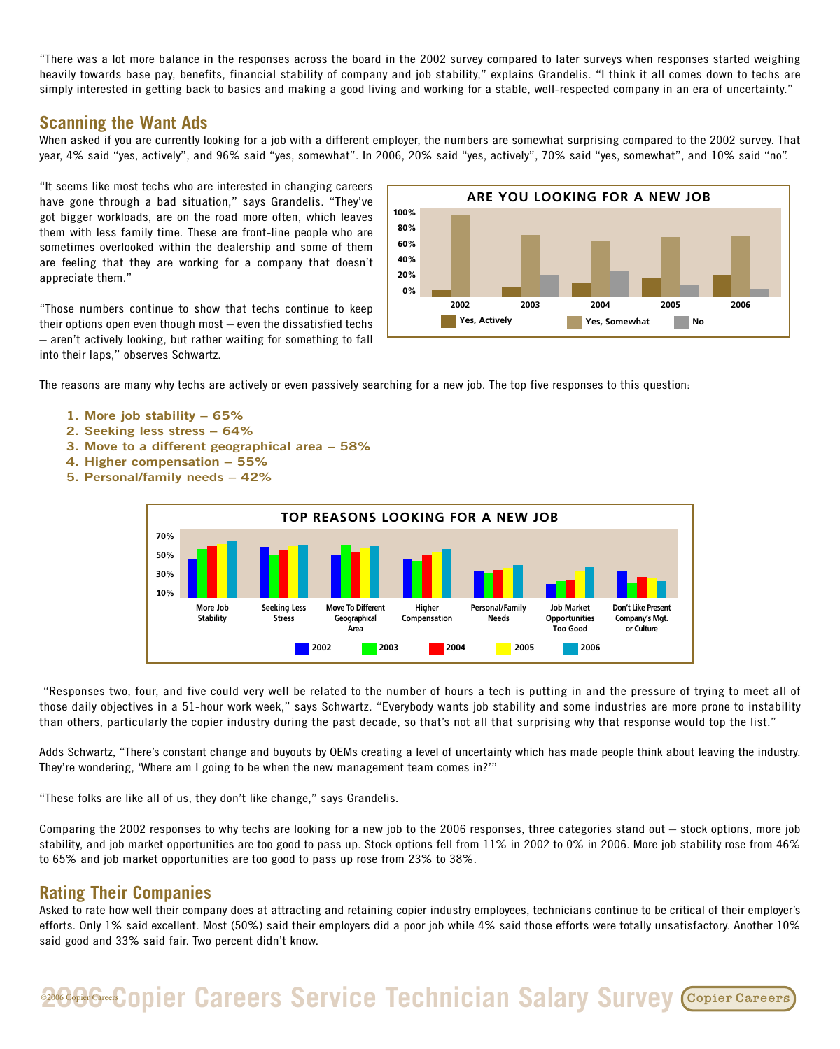"There was a lot more balance in the responses across the board in the 2002 survey compared to later surveys when responses started weighing heavily towards base pay, benefits, financial stability of company and job stability," explains Grandelis. "I think it all comes down to techs are simply interested in getting back to basics and making a good living and working for a stable, well-respected company in an era of uncertainty."

#### **Scanning the Want Ads**

When asked if you are currently looking for a job with a different employer, the numbers are somewhat surprising compared to the 2002 survey. That year, 4% said "yes, actively", and 96% said "yes, somewhat". In 2006, 20% said "yes, actively", 70% said "yes, somewhat", and 10% said "no".

"It seems like most techs who are interested in changing careers have gone through a bad situation," says Grandelis. "They've got bigger workloads, are on the road more often, which leaves them with less family time. These are front-line people who are sometimes overlooked within the dealership and some of them are feeling that they are working for a company that doesn't appreciate them."

"Those numbers continue to show that techs continue to keep their options open even though most – even the dissatisfied techs – aren't actively looking, but rather waiting for something to fall into their laps," observes Schwartz.



The reasons are many why techs are actively or even passively searching for a new job. The top five responses to this question:

- **1. More job stability 65%**
- **2. Seeking less stress 64%**
- **3. Move to a different geographical area 58%**
- **4. Higher compensation 55%**
- **5. Personal/family needs 42%**



"Responses two, four, and five could very well be related to the number of hours a tech is putting in and the pressure of trying to meet all of those daily objectives in a 51-hour work week," says Schwartz. "Everybody wants job stability and some industries are more prone to instability than others, particularly the copier industry during the past decade, so that's not all that surprising why that response would top the list."

Adds Schwartz, "There's constant change and buyouts by OEMs creating a level of uncertainty which has made people think about leaving the industry. They're wondering, 'Where am I going to be when the new management team comes in?'"

"These folks are like all of us, they don't like change," says Grandelis.

Comparing the 2002 responses to why techs are looking for a new job to the 2006 responses, three categories stand out – stock options, more job stability, and job market opportunities are too good to pass up. Stock options fell from 11% in 2002 to 0% in 2006. More job stability rose from 46% to 65% and job market opportunities are too good to pass up rose from 23% to 38%.

#### **Rating Their Companies**

Asked to rate how well their company does at attracting and retaining copier industry employees, technicians continue to be critical of their employer's efforts. Only 1% said excellent. Most (50%) said their employers did a poor job while 4% said those efforts were totally unsatisfactory. Another 10% said good and 33% said fair. Two percent didn't know.

# **2006 Greek Copier Careers Service Technician Salary Survey Copier Careers**